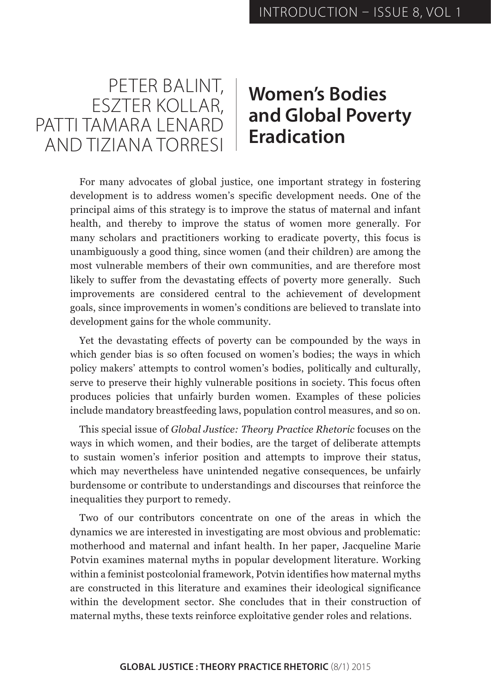

## **Women's Bodies and Global Poverty Eradication**

For many advocates of global justice, one important strategy in fostering development is to address women's specific development needs. One of the principal aims of this strategy is to improve the status of maternal and infant health, and thereby to improve the status of women more generally. For many scholars and practitioners working to eradicate poverty, this focus is unambiguously a good thing, since women (and their children) are among the most vulnerable members of their own communities, and are therefore most likely to suffer from the devastating effects of poverty more generally. Such improvements are considered central to the achievement of development goals, since improvements in women's conditions are believed to translate into development gains for the whole community.

Yet the devastating effects of poverty can be compounded by the ways in which gender bias is so often focused on women's bodies; the ways in which policy makers' attempts to control women's bodies, politically and culturally, serve to preserve their highly vulnerable positions in society. This focus often produces policies that unfairly burden women. Examples of these policies include mandatory breastfeeding laws, population control measures, and so on.

This special issue of *Global Justice: Theory Practice Rhetoric* focuses on the ways in which women, and their bodies, are the target of deliberate attempts to sustain women's inferior position and attempts to improve their status, which may nevertheless have unintended negative consequences, be unfairly burdensome or contribute to understandings and discourses that reinforce the inequalities they purport to remedy.

Two of our contributors concentrate on one of the areas in which the dynamics we are interested in investigating are most obvious and problematic: motherhood and maternal and infant health. In her paper, Jacqueline Marie Potvin examines maternal myths in popular development literature. Working within a feminist postcolonial framework, Potvin identifies how maternal myths are constructed in this literature and examines their ideological significance within the development sector. She concludes that in their construction of maternal myths, these texts reinforce exploitative gender roles and relations.